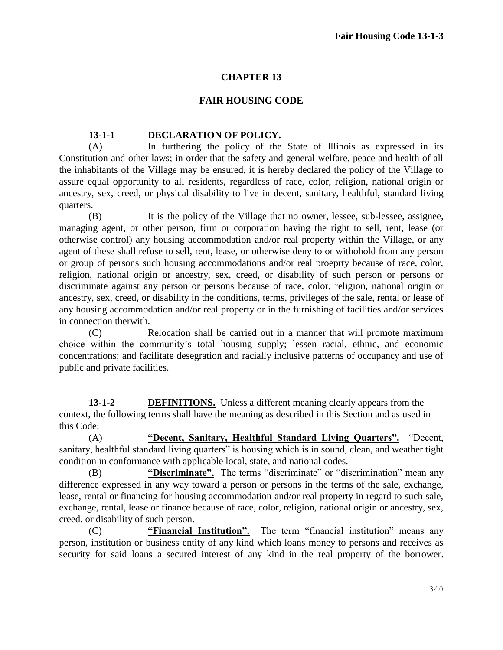## **CHAPTER 13**

## **FAIR HOUSING CODE**

## **13-1-1 DECLARATION OF POLICY.**

(A) In furthering the policy of the State of Illinois as expressed in its Constitution and other laws; in order that the safety and general welfare, peace and health of all the inhabitants of the Village may be ensured, it is hereby declared the policy of the Village to assure equal opportunity to all residents, regardless of race, color, religion, national origin or ancestry, sex, creed, or physical disability to live in decent, sanitary, healthful, standard living quarters.

(B) It is the policy of the Village that no owner, lessee, sub-lessee, assignee, managing agent, or other person, firm or corporation having the right to sell, rent, lease (or otherwise control) any housing accommodation and/or real property within the Village, or any agent of these shall refuse to sell, rent, lease, or otherwise deny to or withohold from any person or group of persons such housing accommodations and/or real proeprty because of race, color, religion, national origin or ancestry, sex, creed, or disability of such person or persons or discriminate against any person or persons because of race, color, religion, national origin or ancestry, sex, creed, or disability in the conditions, terms, privileges of the sale, rental or lease of any housing accommodation and/or real property or in the furnishing of facilities and/or services in connection therwith.

(C) Relocation shall be carried out in a manner that will promote maximum choice within the community's total housing supply; lessen racial, ethnic, and economic concentrations; and facilitate desegration and racially inclusive patterns of occupancy and use of public and private facilities.

**13-1-2 DEFINITIONS.** Unless a different meaning clearly appears from the context, the following terms shall have the meaning as described in this Section and as used in this Code:

(A) **"Decent, Sanitary, Healthful Standard Living Quarters".** "Decent, sanitary, healthful standard living quarters" is housing which is in sound, clean, and weather tight condition in conformance with applicable local, state, and national codes.

(B) **"Discriminate".** The terms "discriminate" or "discrimination" mean any difference expressed in any way toward a person or persons in the terms of the sale, exchange, lease, rental or financing for housing accommodation and/or real property in regard to such sale, exchange, rental, lease or finance because of race, color, religion, national origin or ancestry, sex, creed, or disability of such person.

(C) **"Financial Institution".** The term "financial institution" means any person, institution or business entity of any kind which loans money to persons and receives as security for said loans a secured interest of any kind in the real property of the borrower.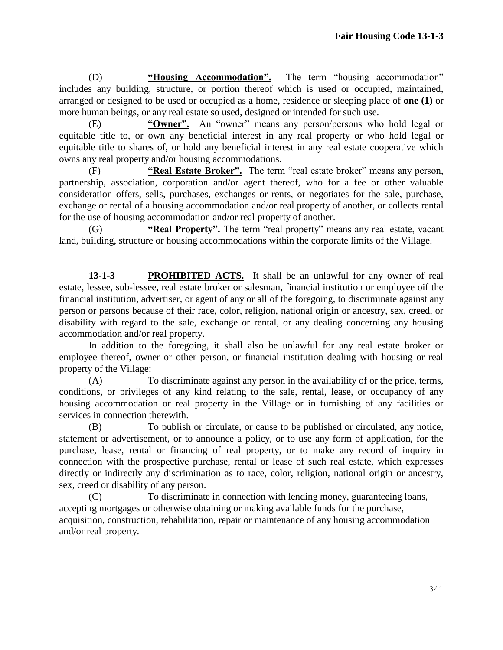(D) **"Housing Accommodation".** The term "housing accommodation" includes any building, structure, or portion thereof which is used or occupied, maintained, arranged or designed to be used or occupied as a home, residence or sleeping place of **one (1)** or more human beings, or any real estate so used, designed or intended for such use.

(E) **"Owner".** An "owner" means any person/persons who hold legal or equitable title to, or own any beneficial interest in any real property or who hold legal or equitable title to shares of, or hold any beneficial interest in any real estate cooperative which owns any real property and/or housing accommodations.

(F) **"Real Estate Broker".** The term "real estate broker" means any person, partnership, association, corporation and/or agent thereof, who for a fee or other valuable consideration offers, sells, purchases, exchanges or rents, or negotiates for the sale, purchase, exchange or rental of a housing accommodation and/or real property of another, or collects rental for the use of housing accommodation and/or real property of another.

(G) **"Real Property".** The term "real property" means any real estate, vacant land, building, structure or housing accommodations within the corporate limits of the Village.

**13-1-3 PROHIBITED ACTS.** It shall be an unlawful for any owner of real estate, lessee, sub-lessee, real estate broker or salesman, financial institution or employee oif the financial institution, advertiser, or agent of any or all of the foregoing, to discriminate against any person or persons because of their race, color, religion, national origin or ancestry, sex, creed, or disability with regard to the sale, exchange or rental, or any dealing concerning any housing accommodation and/or real property.

In addition to the foregoing, it shall also be unlawful for any real estate broker or employee thereof, owner or other person, or financial institution dealing with housing or real property of the Village:

(A) To discriminate against any person in the availability of or the price, terms, conditions, or privileges of any kind relating to the sale, rental, lease, or occupancy of any housing accommodation or real property in the Village or in furnishing of any facilities or services in connection therewith.

(B) To publish or circulate, or cause to be published or circulated, any notice, statement or advertisement, or to announce a policy, or to use any form of application, for the purchase, lease, rental or financing of real property, or to make any record of inquiry in connection with the prospective purchase, rental or lease of such real estate, which expresses directly or indirectly any discrimination as to race, color, religion, national origin or ancestry, sex, creed or disability of any person.

(C) To discriminate in connection with lending money, guaranteeing loans, accepting mortgages or otherwise obtaining or making available funds for the purchase, acquisition, construction, rehabilitation, repair or maintenance of any housing accommodation and/or real property.